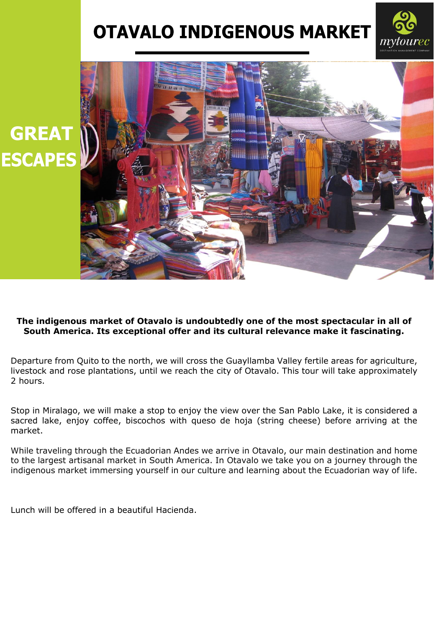## **OTAVALO INDIGENOUS MARKET**





## **The indigenous market of Otavalo is undoubtedly one of the most spectacular in all of South America. Its exceptional offer and its cultural relevance make it fascinating.**

Departure from Quito to the north, we will cross the Guayllamba Valley fertile areas for agriculture, livestock and rose plantations, until we reach the city of Otavalo. This tour will take approximately 2 hours.

Stop in Miralago, we will make a stop to enjoy the view over the San Pablo Lake, it is considered a sacred lake, enjoy coffee, biscochos with queso de hoja (string cheese) before arriving at the market.

While traveling through the Ecuadorian Andes we arrive in Otavalo, our main destination and home to the largest artisanal market in South America. In Otavalo we take you on a journey through the indigenous market immersing yourself in our culture and learning about the Ecuadorian way of life.

Lunch will be offered in a beautiful Hacienda.